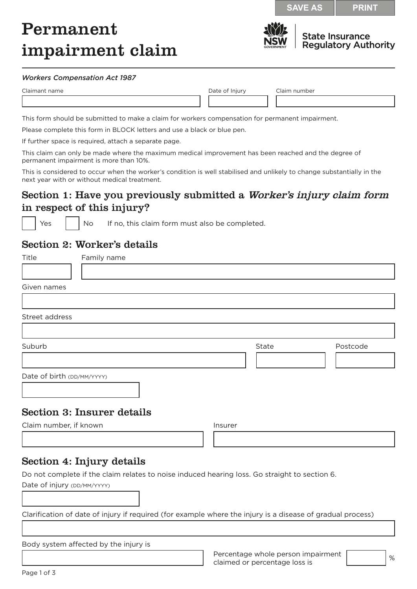**SAVE AS PRINT**

# Permanent impairment claim



**State Insurance Regulatory Authority** 

#### *Workers Compensation Act 1987*

| Claimant name |  |
|---------------|--|
|               |  |

Date of Injury Claim number

This form should be submitted to make a claim for workers compensation for permanent impairment.

Please complete this form in BLOCK letters and use a black or blue pen.

If further space is required, attach a separate page.

This claim can only be made where the maximum medical improvement has been reached and the degree of permanent impairment is more than 10%.

This is considered to occur when the worker's condition is well stabilised and unlikely to change substantially in the next year with or without medical treatment.

## Section 1: Have you previously submitted a *Worker's injury claim form* in respect of this injury?

 $\epsilon$   $\vert$  No If no, this claim form must also be completed.

### Section 2: Worker's details

| Title                      | Family name                       |         |       |          |
|----------------------------|-----------------------------------|---------|-------|----------|
|                            |                                   |         |       |          |
| Given names                |                                   |         |       |          |
|                            |                                   |         |       |          |
| Street address             |                                   |         |       |          |
|                            |                                   |         |       |          |
| Suburb                     |                                   |         | State | Postcode |
|                            |                                   |         |       |          |
| Date of birth (DD/MM/YYYY) |                                   |         |       |          |
|                            | <b>Section 3: Insurer details</b> |         |       |          |
| Claim number, if known     |                                   | Insurer |       |          |
|                            |                                   |         |       |          |
|                            | Rootion 1. Injuny dotaila         |         |       |          |

#### Section 4: Injury details

Do not complete if the claim relates to noise induced hearing loss. Go straight to section 6. Date of injury (DD/MM/YYYY)

Clarification of date of injury if required (for example where the injury is a disease of gradual process)

Body system affected by the injury is

Percentage whole person impairment Percentage whole person impairment<br>claimed or percentage loss is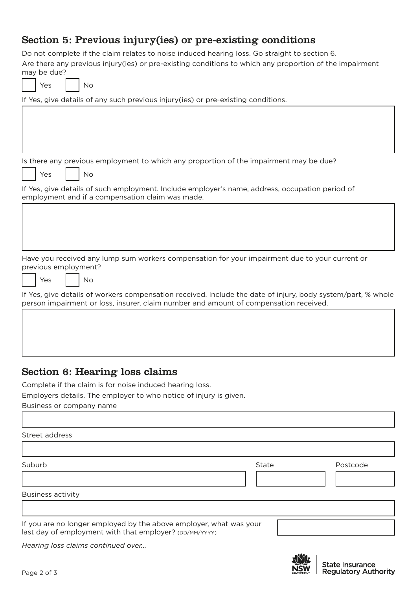## Section 5: Previous injury(ies) or pre-existing conditions

Do not complete if the claim relates to noise induced hearing loss. Go straight to section 6. Are there any previous injury(ies) or pre-existing conditions to which any proportion of the impairment may be due?

| Y≏s | ง∩ |
|-----|----|

If Yes, give details of any such previous injury(ies) or pre-existing conditions.

Is there any previous employment to which any proportion of the impairment may be due?

Yes | No

If Yes, give details of such employment. Include employer's name, address, occupation period of employment and if a compensation claim was made.

Have you received any lump sum workers compensation for your impairment due to your current or previous employment?

 $Yes \mid No$ 

If Yes, give details of workers compensation received. Include the date of injury, body system/part, % whole person impairment or loss, insurer, claim number and amount of compensation received.

## Section 6: Hearing loss claims

Complete if the claim is for noise induced hearing loss.

Employers details. The employer to who notice of injury is given.

Business or company name

Street address

Suburb State Postcode

Business activity

If you are no longer employed by the above employer, what was your last day of employment with that employer? (DD/MM/YYYY)

*Hearing loss claims continued over...*